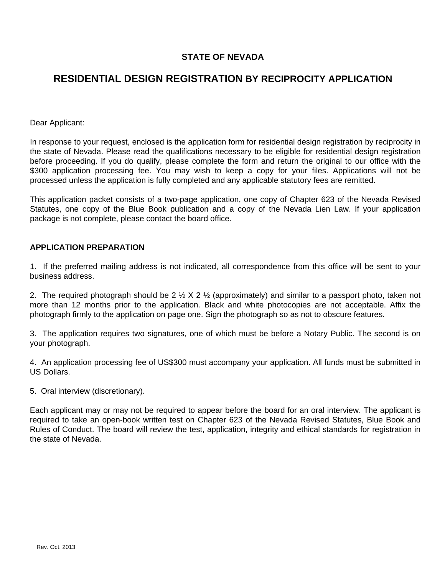## **STATE OF NEVADA**

## **RESIDENTIAL DESIGN REGISTRATION BY RECIPROCITY APPLICATION**

Dear Applicant:

In response to your request, enclosed is the application form for residential design registration by reciprocity in the state of Nevada. Please read the qualifications necessary to be eligible for residential design registration before proceeding. If you do qualify, please complete the form and return the original to our office with the \$300 application processing fee. You may wish to keep a copy for your files. Applications will not be processed unless the application is fully completed and any applicable statutory fees are remitted.

This application packet consists of a two-page application, one copy of Chapter 623 of the Nevada Revised Statutes, one copy of the Blue Book publication and a copy of the Nevada Lien Law. If your application package is not complete, please contact the board office.

## **APPLICATION PREPARATION**

1. If the preferred mailing address is not indicated, all correspondence from this office will be sent to your business address.

2. The required photograph should be 2  $\frac{1}{2}$  X 2  $\frac{1}{2}$  (approximately) and similar to a passport photo, taken not more than 12 months prior to the application. Black and white photocopies are not acceptable. Affix the photograph firmly to the application on page one. Sign the photograph so as not to obscure features.

3. The application requires two signatures, one of which must be before a Notary Public. The second is on your photograph.

4. An application processing fee of US\$300 must accompany your application. All funds must be submitted in US Dollars.

5. Oral interview (discretionary).

Each applicant may or may not be required to appear before the board for an oral interview. The applicant is required to take an open-book written test on Chapter 623 of the Nevada Revised Statutes, Blue Book and Rules of Conduct. The board will review the test, application, integrity and ethical standards for registration in the state of Nevada.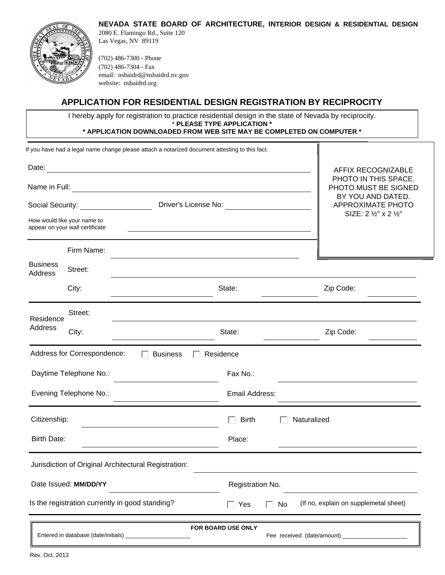



2080 E. Flamingo Rd., Suite 120 Las Vegas, NV 89119

(702) 486-7300 - Phone (702) 486-7304 - Fax email: nsbaidrd@nsbaidrd.nv.gov website: nsbaidrd.org

## **APPLICATION FOR RESIDENTIAL DESIGN REGISTRATION BY RECIPROCITY**

I hereby apply for registration to practice residential design in the state of Nevada by reciprocity. \* **PLEASE TYPE APPLICATION \* \* APPLICATION DOWNLOADED FROM WEB SITE MAY BE COMPLETED ON COMPUTER \***

|                            |                                                                | If you have had a legal name change please attach a notarized document attesting to this fact. |                      |                |                                                                        |  |
|----------------------------|----------------------------------------------------------------|------------------------------------------------------------------------------------------------|----------------------|----------------|------------------------------------------------------------------------|--|
|                            |                                                                | AFFIX RECOGNIZABLE                                                                             |                      |                |                                                                        |  |
| Name in Full:              |                                                                | PHOTO IN THIS SPACE.<br>PHOTO MUST BE SIGNED                                                   |                      |                |                                                                        |  |
|                            | Social Security: Social Security:                              |                                                                                                | Driver's License No: |                | BY YOU AND DATED.<br><b>APPROXIMATE PHOTO</b><br>SIZE: 2 1/2" x 2 1/2" |  |
|                            | How would like your name to<br>appear on your wall certificate |                                                                                                |                      |                |                                                                        |  |
|                            | Firm Name:                                                     |                                                                                                |                      |                |                                                                        |  |
| <b>Business</b><br>Address | Street:                                                        |                                                                                                |                      |                |                                                                        |  |
|                            | City:                                                          |                                                                                                | State:               |                | Zip Code:                                                              |  |
| Residence<br>Address       | Street:                                                        |                                                                                                |                      |                |                                                                        |  |
|                            | City:                                                          |                                                                                                | State:               |                | Zip Code:                                                              |  |
|                            | Address for Correspondence:                                    | <b>Business</b>                                                                                | Residence            |                |                                                                        |  |
| Daytime Telephone No.:     |                                                                |                                                                                                | Fax No.:             |                |                                                                        |  |
| Evening Telephone No.:     |                                                                |                                                                                                |                      | Email Address: |                                                                        |  |
| Citizenship:               |                                                                |                                                                                                | <b>Birth</b>         |                | Naturalized                                                            |  |
| <b>Birth Date:</b>         |                                                                |                                                                                                | Place:               |                |                                                                        |  |
|                            |                                                                | Jurisdiction of Original Architectural Registration:                                           |                      |                |                                                                        |  |
|                            | Date Issued: MM/DD/YY                                          |                                                                                                | Registration No.     |                |                                                                        |  |
|                            |                                                                | Is the registration currently in good standing?                                                | Yes<br>$\sim$        | No             | (If no, explain on supplemetal sheet)                                  |  |
|                            |                                                                |                                                                                                | FOR BOARD USE ONLY   |                |                                                                        |  |
|                            |                                                                |                                                                                                |                      |                |                                                                        |  |